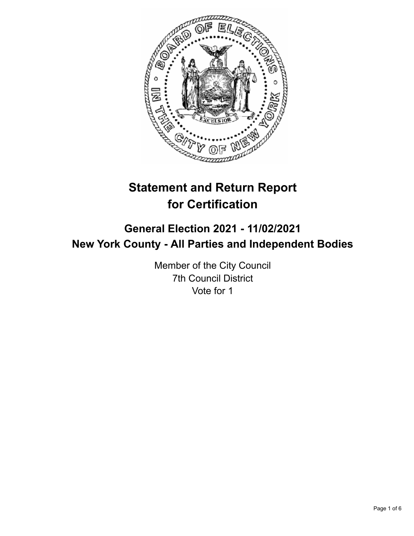

# **Statement and Return Report for Certification**

## **General Election 2021 - 11/02/2021 New York County - All Parties and Independent Bodies**

Member of the City Council 7th Council District Vote for 1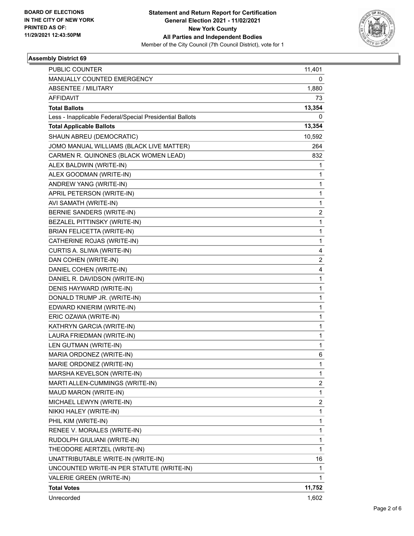

### **Assembly District 69**

| PUBLIC COUNTER                                           | 11,401                  |
|----------------------------------------------------------|-------------------------|
| MANUALLY COUNTED EMERGENCY                               | 0                       |
| <b>ABSENTEE / MILITARY</b>                               | 1,880                   |
| <b>AFFIDAVIT</b>                                         | 73                      |
| <b>Total Ballots</b>                                     | 13,354                  |
| Less - Inapplicable Federal/Special Presidential Ballots | 0                       |
| <b>Total Applicable Ballots</b>                          | 13,354                  |
| SHAUN ABREU (DEMOCRATIC)                                 | 10,592                  |
| JOMO MANUAL WILLIAMS (BLACK LIVE MATTER)                 | 264                     |
| CARMEN R. QUINONES (BLACK WOMEN LEAD)                    | 832                     |
| ALEX BALDWIN (WRITE-IN)                                  | 1                       |
| ALEX GOODMAN (WRITE-IN)                                  | 1                       |
| ANDREW YANG (WRITE-IN)                                   | 1                       |
| APRIL PETERSON (WRITE-IN)                                | $\mathbf{1}$            |
| AVI SAMATH (WRITE-IN)                                    | 1                       |
| BERNIE SANDERS (WRITE-IN)                                | $\overline{\mathbf{c}}$ |
| BEZALEL PITTINSKY (WRITE-IN)                             | $\mathbf{1}$            |
| <b>BRIAN FELICETTA (WRITE-IN)</b>                        | 1                       |
| CATHERINE ROJAS (WRITE-IN)                               | 1                       |
| CURTIS A. SLIWA (WRITE-IN)                               | 4                       |
| DAN COHEN (WRITE-IN)                                     | $\overline{c}$          |
| DANIEL COHEN (WRITE-IN)                                  | 4                       |
| DANIEL R. DAVIDSON (WRITE-IN)                            | $\mathbf{1}$            |
| DENIS HAYWARD (WRITE-IN)                                 | 1                       |
| DONALD TRUMP JR. (WRITE-IN)                              | $\mathbf{1}$            |
| EDWARD KNIERIM (WRITE-IN)                                | $\mathbf{1}$            |
| ERIC OZAWA (WRITE-IN)                                    | 1                       |
| KATHRYN GARCIA (WRITE-IN)                                | 1                       |
| LAURA FRIEDMAN (WRITE-IN)                                | $\mathbf{1}$            |
| LEN GUTMAN (WRITE-IN)                                    | 1                       |
| MARIA ORDONEZ (WRITE-IN)                                 | 6                       |
| MARIE ORDONEZ (WRITE-IN)                                 | 1                       |
| MARSHA KEVELSON (WRITE-IN)                               | 1                       |
| MARTI ALLEN-CUMMINGS (WRITE-IN)                          | $\overline{\mathbf{c}}$ |
| MAUD MARON (WRITE-IN)                                    | $\mathbf{1}$            |
| MICHAEL LEWYN (WRITE-IN)                                 | 2                       |
| NIKKI HALEY (WRITE-IN)                                   | $\mathbf{1}$            |
| PHIL KIM (WRITE-IN)                                      | 1                       |
| RENEE V. MORALES (WRITE-IN)                              | 1                       |
| RUDOLPH GIULIANI (WRITE-IN)                              | 1                       |
| THEODORE AERTZEL (WRITE-IN)                              | $\mathbf{1}$            |
| UNATTRIBUTABLE WRITE-IN (WRITE-IN)                       | 16                      |
| UNCOUNTED WRITE-IN PER STATUTE (WRITE-IN)                | 1                       |
| VALERIE GREEN (WRITE-IN)                                 | 1                       |
| <b>Total Votes</b>                                       | 11,752                  |
| Unrecorded                                               | 1,602                   |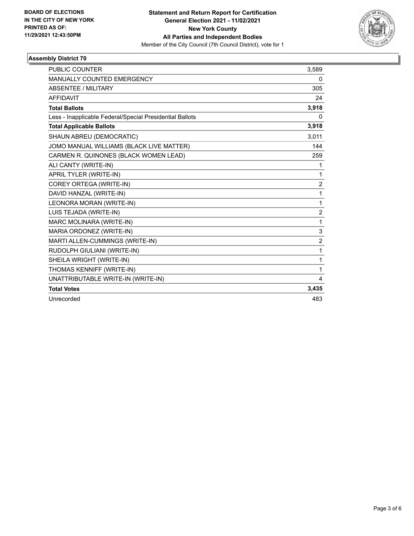

### **Assembly District 70**

| <b>PUBLIC COUNTER</b>                                    | 3,589          |
|----------------------------------------------------------|----------------|
| <b>MANUALLY COUNTED EMERGENCY</b>                        | 0              |
| <b>ABSENTEE / MILITARY</b>                               | 305            |
| <b>AFFIDAVIT</b>                                         | 24             |
| <b>Total Ballots</b>                                     | 3,918          |
| Less - Inapplicable Federal/Special Presidential Ballots | 0              |
| <b>Total Applicable Ballots</b>                          | 3,918          |
| SHAUN ABREU (DEMOCRATIC)                                 | 3,011          |
| JOMO MANUAL WILLIAMS (BLACK LIVE MATTER)                 | 144            |
| CARMEN R. QUINONES (BLACK WOMEN LEAD)                    | 259            |
| ALI CANTY (WRITE-IN)                                     | 1              |
| APRIL TYLER (WRITE-IN)                                   | 1              |
| COREY ORTEGA (WRITE-IN)                                  | $\overline{c}$ |
| DAVID HANZAL (WRITE-IN)                                  | 1              |
| LEONORA MORAN (WRITE-IN)                                 | 1              |
| LUIS TEJADA (WRITE-IN)                                   | $\overline{2}$ |
| MARC MOLINARA (WRITE-IN)                                 | 1              |
| MARIA ORDONEZ (WRITE-IN)                                 | 3              |
| MARTI ALLEN-CUMMINGS (WRITE-IN)                          | $\overline{2}$ |
| RUDOLPH GIULIANI (WRITE-IN)                              | 1              |
| SHEILA WRIGHT (WRITE-IN)                                 | 1              |
| THOMAS KENNIFF (WRITE-IN)                                | 1              |
| UNATTRIBUTABLE WRITE-IN (WRITE-IN)                       | 4              |
| <b>Total Votes</b>                                       | 3,435          |
| Unrecorded                                               | 483            |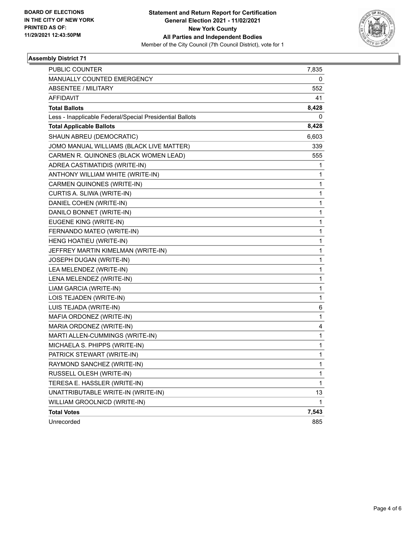

### **Assembly District 71**

| <b>PUBLIC COUNTER</b>                                    | 7,835 |
|----------------------------------------------------------|-------|
| MANUALLY COUNTED EMERGENCY                               | 0     |
| <b>ABSENTEE / MILITARY</b>                               | 552   |
| <b>AFFIDAVIT</b>                                         | 41    |
| <b>Total Ballots</b>                                     | 8,428 |
| Less - Inapplicable Federal/Special Presidential Ballots | 0     |
| <b>Total Applicable Ballots</b>                          | 8,428 |
| SHAUN ABREU (DEMOCRATIC)                                 | 6,603 |
| JOMO MANUAL WILLIAMS (BLACK LIVE MATTER)                 | 339   |
| CARMEN R. QUINONES (BLACK WOMEN LEAD)                    | 555   |
| ADREA CASTIMATIDIS (WRITE-IN)                            | 1     |
| ANTHONY WILLIAM WHITE (WRITE-IN)                         | 1     |
| CARMEN QUINONES (WRITE-IN)                               | 1     |
| CURTIS A. SLIWA (WRITE-IN)                               | 1     |
| DANIEL COHEN (WRITE-IN)                                  | 1     |
| DANILO BONNET (WRITE-IN)                                 | 1     |
| EUGENE KING (WRITE-IN)                                   | 1     |
| FERNANDO MATEO (WRITE-IN)                                | 1     |
| HENG HOATIEU (WRITE-IN)                                  | 1     |
| JEFFREY MARTIN KIMELMAN (WRITE-IN)                       | 1     |
| JOSEPH DUGAN (WRITE-IN)                                  | 1     |
| LEA MELENDEZ (WRITE-IN)                                  | 1     |
| LENA MELENDEZ (WRITE-IN)                                 | 1     |
| LIAM GARCIA (WRITE-IN)                                   | 1     |
| LOIS TEJADEN (WRITE-IN)                                  | 1     |
| LUIS TEJADA (WRITE-IN)                                   | 6     |
| MAFIA ORDONEZ (WRITE-IN)                                 | 1     |
| MARIA ORDONEZ (WRITE-IN)                                 | 4     |
| MARTI ALLEN-CUMMINGS (WRITE-IN)                          | 1     |
| MICHAELA S. PHIPPS (WRITE-IN)                            | 1     |
| PATRICK STEWART (WRITE-IN)                               | 1     |
| RAYMOND SANCHEZ (WRITE-IN)                               | 1     |
| RUSSELL OLESH (WRITE-IN)                                 | 1     |
| TERESA E. HASSLER (WRITE-IN)                             | 1     |
| UNATTRIBUTABLE WRITE-IN (WRITE-IN)                       | 13    |
| WILLIAM GROOLNICD (WRITE-IN)                             | 1     |
| <b>Total Votes</b>                                       | 7,543 |
| Unrecorded                                               | 885   |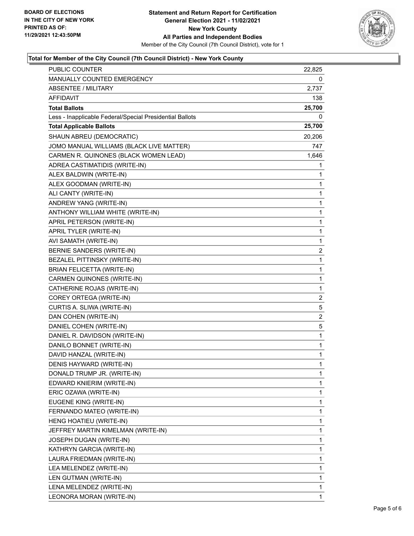

### **Total for Member of the City Council (7th Council District) - New York County**

| PUBLIC COUNTER                                           | 22,825                  |
|----------------------------------------------------------|-------------------------|
| MANUALLY COUNTED EMERGENCY                               | 0                       |
| <b>ABSENTEE / MILITARY</b>                               | 2,737                   |
| AFFIDAVIT                                                | 138                     |
| <b>Total Ballots</b>                                     | 25,700                  |
| Less - Inapplicable Federal/Special Presidential Ballots | 0                       |
| <b>Total Applicable Ballots</b>                          | 25,700                  |
| SHAUN ABREU (DEMOCRATIC)                                 | 20,206                  |
| JOMO MANUAL WILLIAMS (BLACK LIVE MATTER)                 | 747                     |
| CARMEN R. QUINONES (BLACK WOMEN LEAD)                    | 1,646                   |
| ADREA CASTIMATIDIS (WRITE-IN)                            | 1                       |
| ALEX BALDWIN (WRITE-IN)                                  | 1                       |
| ALEX GOODMAN (WRITE-IN)                                  | 1                       |
| ALI CANTY (WRITE-IN)                                     | 1                       |
| ANDREW YANG (WRITE-IN)                                   | 1                       |
| ANTHONY WILLIAM WHITE (WRITE-IN)                         | 1                       |
| APRIL PETERSON (WRITE-IN)                                | 1                       |
| APRIL TYLER (WRITE-IN)                                   | 1                       |
| AVI SAMATH (WRITE-IN)                                    | 1                       |
| <b>BERNIE SANDERS (WRITE-IN)</b>                         | $\overline{\mathbf{c}}$ |
| BEZALEL PITTINSKY (WRITE-IN)                             | $\mathbf{1}$            |
| <b>BRIAN FELICETTA (WRITE-IN)</b>                        | 1                       |
| CARMEN QUINONES (WRITE-IN)                               | 1                       |
| CATHERINE ROJAS (WRITE-IN)                               | 1                       |
| COREY ORTEGA (WRITE-IN)                                  | 2                       |
| CURTIS A. SLIWA (WRITE-IN)                               | 5                       |
| DAN COHEN (WRITE-IN)                                     | $\overline{c}$          |
| DANIEL COHEN (WRITE-IN)                                  | 5                       |
| DANIEL R. DAVIDSON (WRITE-IN)                            | 1                       |
| DANILO BONNET (WRITE-IN)                                 | 1                       |
| DAVID HANZAL (WRITE-IN)                                  | 1                       |
| DENIS HAYWARD (WRITE-IN)                                 | $\mathbf{1}$            |
| DONALD TRUMP JR. (WRITE-IN)                              | 1                       |
| EDWARD KNIERIM (WRITE-IN)                                | 1                       |
| ERIC OZAWA (WRITE-IN)                                    | 1                       |
| EUGENE KING (WRITE-IN)                                   | 1                       |
| FERNANDO MATEO (WRITE-IN)                                | 1                       |
| HENG HOATIEU (WRITE-IN)                                  | 1                       |
| JEFFREY MARTIN KIMELMAN (WRITE-IN)                       | 1                       |
| JOSEPH DUGAN (WRITE-IN)                                  | 1                       |
| KATHRYN GARCIA (WRITE-IN)                                | 1                       |
| LAURA FRIEDMAN (WRITE-IN)                                | 1                       |
| LEA MELENDEZ (WRITE-IN)                                  | 1                       |
| LEN GUTMAN (WRITE-IN)                                    | 1                       |
| LENA MELENDEZ (WRITE-IN)                                 | 1                       |
| LEONORA MORAN (WRITE-IN)                                 | 1                       |